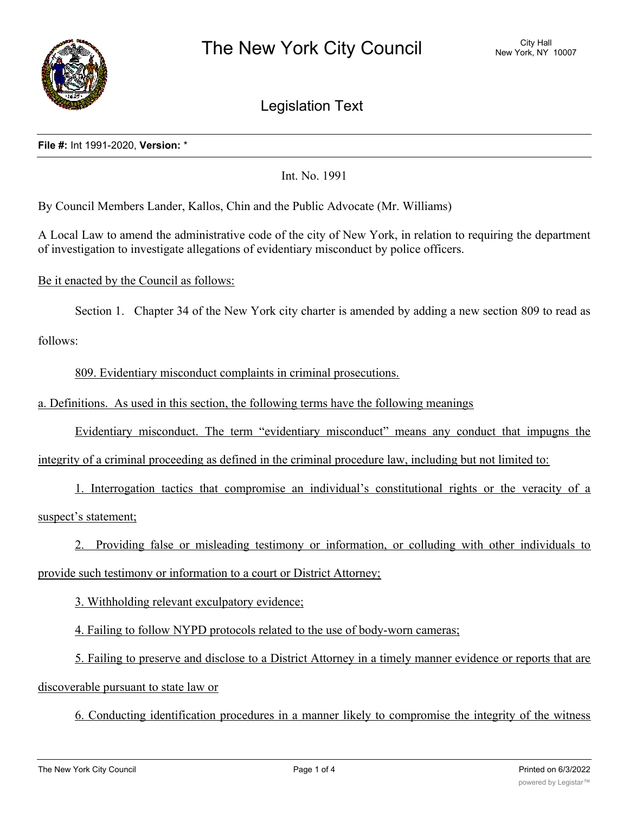

Legislation Text

## **File #:** Int 1991-2020, **Version:** \*

Int. No. 1991

By Council Members Lander, Kallos, Chin and the Public Advocate (Mr. Williams)

A Local Law to amend the administrative code of the city of New York, in relation to requiring the department of investigation to investigate allegations of evidentiary misconduct by police officers.

Be it enacted by the Council as follows:

Section 1. Chapter 34 of the New York city charter is amended by adding a new section 809 to read as

follows:

809. Evidentiary misconduct complaints in criminal prosecutions.

a. Definitions. As used in this section, the following terms have the following meanings

Evidentiary misconduct. The term "evidentiary misconduct" means any conduct that impugns the

integrity of a criminal proceeding as defined in the criminal procedure law, including but not limited to:

1. Interrogation tactics that compromise an individual's constitutional rights or the veracity of a suspect's statement;

2. Providing false or misleading testimony or information, or colluding with other individuals to provide such testimony or information to a court or District Attorney;

3. Withholding relevant exculpatory evidence;

4. Failing to follow NYPD protocols related to the use of body-worn cameras;

5. Failing to preserve and disclose to a District Attorney in a timely manner evidence or reports that are discoverable pursuant to state law or

6. Conducting identification procedures in a manner likely to compromise the integrity of the witness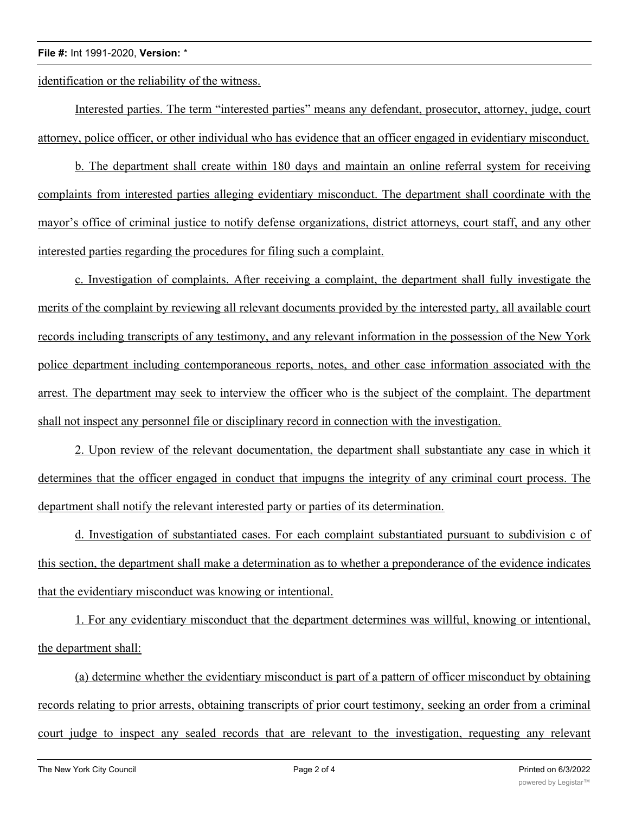## **File #:** Int 1991-2020, **Version:** \*

identification or the reliability of the witness.

Interested parties. The term "interested parties" means any defendant, prosecutor, attorney, judge, court attorney, police officer, or other individual who has evidence that an officer engaged in evidentiary misconduct.

b. The department shall create within 180 days and maintain an online referral system for receiving complaints from interested parties alleging evidentiary misconduct. The department shall coordinate with the mayor's office of criminal justice to notify defense organizations, district attorneys, court staff, and any other interested parties regarding the procedures for filing such a complaint.

c. Investigation of complaints. After receiving a complaint, the department shall fully investigate the merits of the complaint by reviewing all relevant documents provided by the interested party, all available court records including transcripts of any testimony, and any relevant information in the possession of the New York police department including contemporaneous reports, notes, and other case information associated with the arrest. The department may seek to interview the officer who is the subject of the complaint. The department shall not inspect any personnel file or disciplinary record in connection with the investigation.

2. Upon review of the relevant documentation, the department shall substantiate any case in which it determines that the officer engaged in conduct that impugns the integrity of any criminal court process. The department shall notify the relevant interested party or parties of its determination.

d. Investigation of substantiated cases. For each complaint substantiated pursuant to subdivision c of this section, the department shall make a determination as to whether a preponderance of the evidence indicates that the evidentiary misconduct was knowing or intentional.

1. For any evidentiary misconduct that the department determines was willful, knowing or intentional, the department shall:

(a) determine whether the evidentiary misconduct is part of a pattern of officer misconduct by obtaining records relating to prior arrests, obtaining transcripts of prior court testimony, seeking an order from a criminal court judge to inspect any sealed records that are relevant to the investigation, requesting any relevant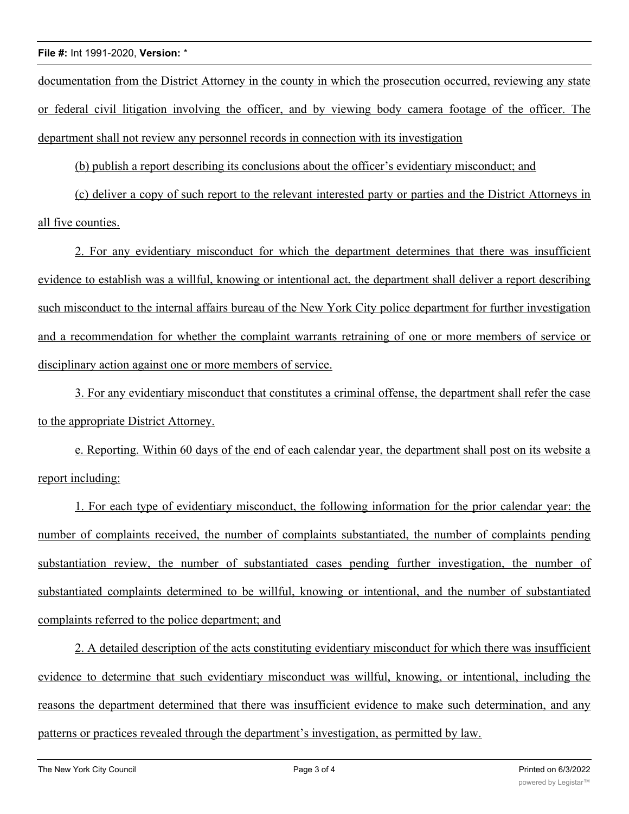## **File #:** Int 1991-2020, **Version:** \*

documentation from the District Attorney in the county in which the prosecution occurred, reviewing any state or federal civil litigation involving the officer, and by viewing body camera footage of the officer. The department shall not review any personnel records in connection with its investigation

(b) publish a report describing its conclusions about the officer's evidentiary misconduct; and

(c) deliver a copy of such report to the relevant interested party or parties and the District Attorneys in all five counties.

2. For any evidentiary misconduct for which the department determines that there was insufficient evidence to establish was a willful, knowing or intentional act, the department shall deliver a report describing such misconduct to the internal affairs bureau of the New York City police department for further investigation and a recommendation for whether the complaint warrants retraining of one or more members of service or disciplinary action against one or more members of service.

3. For any evidentiary misconduct that constitutes a criminal offense, the department shall refer the case to the appropriate District Attorney.

e. Reporting. Within 60 days of the end of each calendar year, the department shall post on its website a report including:

1. For each type of evidentiary misconduct, the following information for the prior calendar year: the number of complaints received, the number of complaints substantiated, the number of complaints pending substantiation review, the number of substantiated cases pending further investigation, the number of substantiated complaints determined to be willful, knowing or intentional, and the number of substantiated complaints referred to the police department; and

2. A detailed description of the acts constituting evidentiary misconduct for which there was insufficient evidence to determine that such evidentiary misconduct was willful, knowing, or intentional, including the reasons the department determined that there was insufficient evidence to make such determination, and any patterns or practices revealed through the department's investigation, as permitted by law.